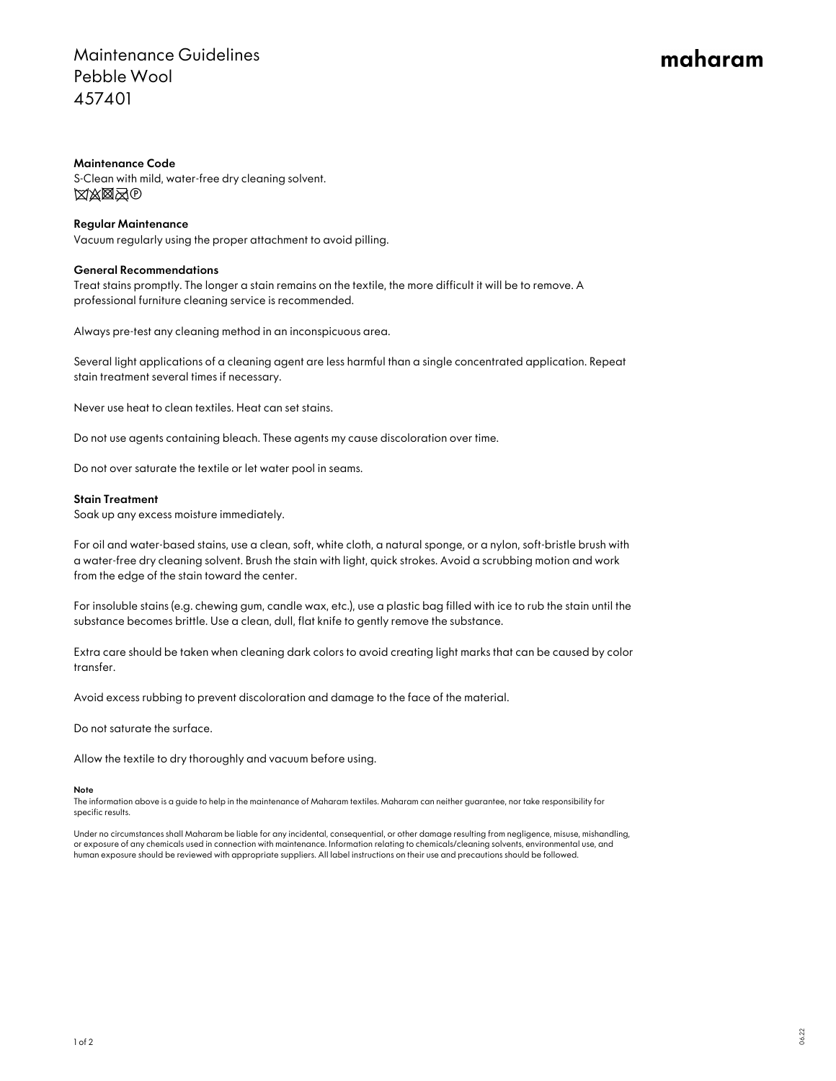## Maintenance Guidelines Pebble Wool 457401

# maharam

#### Maintenance Code

S-Clean with mild, water-free dry cleaning solvent. **XXXX**O

### Regular Maintenance

Vacuum regularly using the proper attachment to avoid pilling.

#### General Recommendations

Treat stains promptly. The longer a stain remains on the textile, the more difficult it will be to remove. A professional furniture cleaning service is recommended.

Always pre-test any cleaning method in an inconspicuous area.

Several light applications of a cleaning agent are less harmful than a single concentrated application. Repeat stain treatment several times if necessary.

Never use heat to clean textiles. Heat can set stains.

Do not use agents containing bleach. These agents my cause discoloration over time.

Do not over saturate the textile or let water pool in seams.

#### Stain Treatment

Soak up any excess moisture immediately.

For oil and water-based stains, use a clean, soft, white cloth, a natural sponge, or a nylon, soft-bristle brush with a water-free dry cleaning solvent. Brush the stain with light, quick strokes. Avoid a scrubbing motion and work from the edge of the stain toward the center.

For insoluble stains (e.g. chewing gum, candle wax, etc.), use a plastic bag filled with ice to rub the stain until the substance becomes brittle. Use a clean, dull, flat knife to gently remove the substance.

Extra care should be taken when cleaning dark colors to avoid creating light marks that can be caused by color transfer.

Avoid excess rubbing to prevent discoloration and damage to the face of the material.

Do not saturate the surface.

Allow the textile to dry thoroughly and vacuum before using.

#### Note

The information above is a guide to help in the maintenance of Maharam textiles. Maharam can neither guarantee, nor take responsibility for specific results.

Under no circumstances shall Maharam be liable for any incidental, consequential, or other damage resulting from negligence, misuse, mishandling, or exposure of any chemicals used in connection with maintenance. Information relating to chemicals/cleaning solvents, environmental use, and human exposure should be reviewed with appropriate suppliers. All label instructions on their use and precautions should be followed.